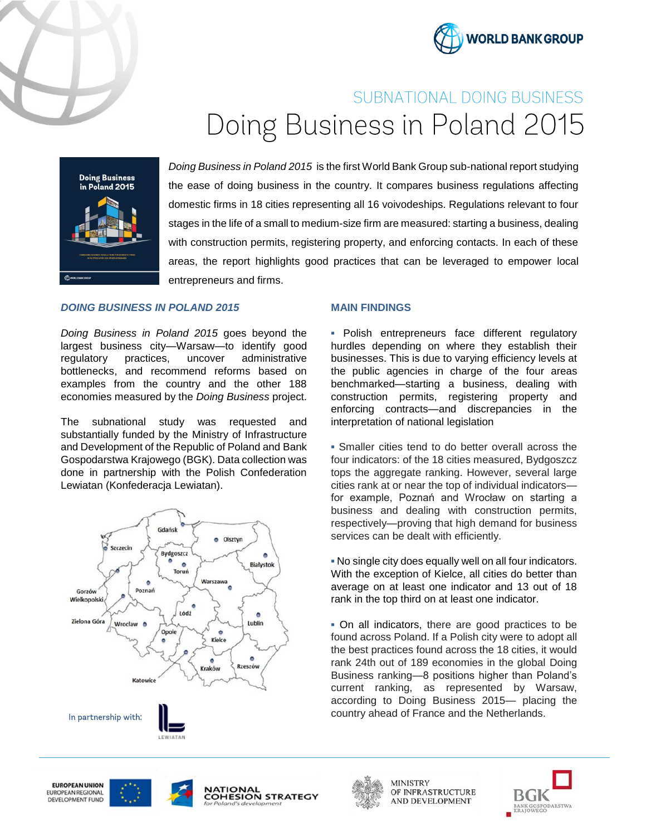



# SUBNATIONAL DOING BUSINESS Doing Business in Poland 2015



*Doing Business in Poland 2015* is the first World Bank Group sub-national report studying the ease of doing business in the country. It compares business regulations affecting domestic firms in 18 cities representing all 16 voivodeships. Regulations relevant to four stages in the life of a small to medium-size firm are measured: starting a business, dealing with construction permits, registering property, and enforcing contacts. In each of these areas, the report highlights good practices that can be leveraged to empower local entrepreneurs and firms.

## *DOING BUSINESS IN POLAND 2015*

*Doing Business in Poland 2015* goes beyond the largest business city—Warsaw—to identify good regulatory practices, uncover administrative bottlenecks, and recommend reforms based on examples from the country and the other 188 economies measured by the *Doing Business* project.

The subnational study was requested and substantially funded by the Ministry of Infrastructure and Development of the Republic of Poland and Bank Gospodarstwa Krajowego (BGK). Data collection was done in partnership with the Polish Confederation Lewiatan (Konfederacja Lewiatan).



## **MAIN FINDINGS**

**▪** Polish entrepreneurs face different regulatory hurdles depending on where they establish their businesses. This is due to varying efficiency levels at the public agencies in charge of the four areas benchmarked—starting a business, dealing with construction permits, registering property and enforcing contracts—and discrepancies in the interpretation of national legislation

**▪** Smaller cities tend to do better overall across the four indicators: of the 18 cities measured, Bydgoszcz tops the aggregate ranking. However, several large cities rank at or near the top of individual indicators for example, Poznań and Wrocław on starting a business and dealing with construction permits, respectively—proving that high demand for business services can be dealt with efficiently.

**▪** No single city does equally well on all four indicators. With the exception of Kielce, all cities do better than average on at least one indicator and 13 out of 18 rank in the top third on at least one indicator.

**▪** On all indicators, there are good practices to be found across Poland. If a Polish city were to adopt all the best practices found across the 18 cities, it would rank 24th out of 189 economies in the global Doing Business ranking—8 positions higher than Poland's current ranking, as represented by Warsaw, according to Doing Business 2015— placing the country ahead of France and the Netherlands.









**MINISTRY** OF INFRASTRUCTURE AND DEVELOPMENT